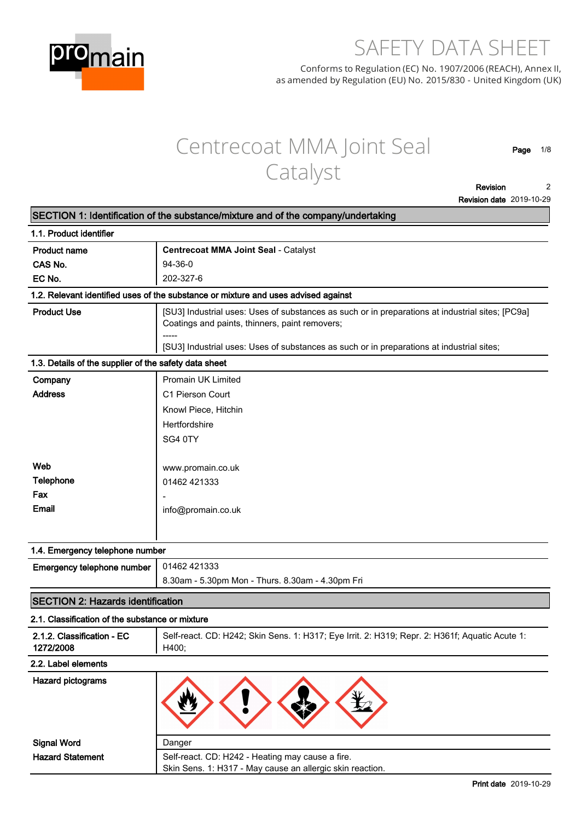

# SAFETY DATA SHEET

Conforms to Regulation (EC) No. 1907/2006 (REACH), Annex II, as amended by Regulation (EU) No. 2015/830 - United Kingdom (UK)

# Centrecoat MMA Joint Seal Catalyst

**Page 1/8**

**Revision Revision date 2019-10-29 2**

|                                                       | SECTION 1: Identification of the substance/mixture and of the company/undertaking                                                                  |  |  |
|-------------------------------------------------------|----------------------------------------------------------------------------------------------------------------------------------------------------|--|--|
| 1.1. Product identifier                               |                                                                                                                                                    |  |  |
| <b>Product name</b>                                   | Centrecoat MMA Joint Seal - Catalyst                                                                                                               |  |  |
| CAS No.                                               | 94-36-0                                                                                                                                            |  |  |
| EC No.                                                | 202-327-6                                                                                                                                          |  |  |
|                                                       | 1.2. Relevant identified uses of the substance or mixture and uses advised against                                                                 |  |  |
| <b>Product Use</b>                                    | [SU3] Industrial uses: Uses of substances as such or in preparations at industrial sites; [PC9a]<br>Coatings and paints, thinners, paint removers; |  |  |
|                                                       | [SU3] Industrial uses: Uses of substances as such or in preparations at industrial sites;                                                          |  |  |
| 1.3. Details of the supplier of the safety data sheet |                                                                                                                                                    |  |  |
| Company                                               | <b>Promain UK Limited</b>                                                                                                                          |  |  |
| <b>Address</b>                                        | C1 Pierson Court                                                                                                                                   |  |  |
|                                                       | Knowl Piece, Hitchin                                                                                                                               |  |  |
|                                                       | Hertfordshire                                                                                                                                      |  |  |
|                                                       | SG4 0TY                                                                                                                                            |  |  |
|                                                       |                                                                                                                                                    |  |  |
| Web                                                   | www.promain.co.uk                                                                                                                                  |  |  |
| <b>Telephone</b>                                      | 01462 421333                                                                                                                                       |  |  |
| Fax                                                   |                                                                                                                                                    |  |  |
| Email                                                 | info@promain.co.uk                                                                                                                                 |  |  |
|                                                       |                                                                                                                                                    |  |  |
|                                                       |                                                                                                                                                    |  |  |
| 1.4. Emergency telephone number                       |                                                                                                                                                    |  |  |
| Emergency telephone number                            | 01462 421333                                                                                                                                       |  |  |
|                                                       | 8.30am - 5.30pm Mon - Thurs. 8.30am - 4.30pm Fri                                                                                                   |  |  |
| <b>SECTION 2: Hazards identification</b>              |                                                                                                                                                    |  |  |
| 2.1. Classification of the substance or mixture       |                                                                                                                                                    |  |  |
| 2.1.2. Classification - EC<br>1272/2008               | Self-react. CD: H242; Skin Sens. 1: H317; Eye Irrit. 2: H319; Repr. 2: H361f; Aquatic Acute 1:<br>H400;                                            |  |  |
| 2.2. Label elements                                   |                                                                                                                                                    |  |  |
| <b>Hazard pictograms</b>                              |                                                                                                                                                    |  |  |
| <b>Signal Word</b>                                    | Danger                                                                                                                                             |  |  |
| <b>Hazard Statement</b>                               | Self-react. CD: H242 - Heating may cause a fire.                                                                                                   |  |  |
|                                                       | Skin Sens. 1: H317 - May cause an allergic skin reaction.                                                                                          |  |  |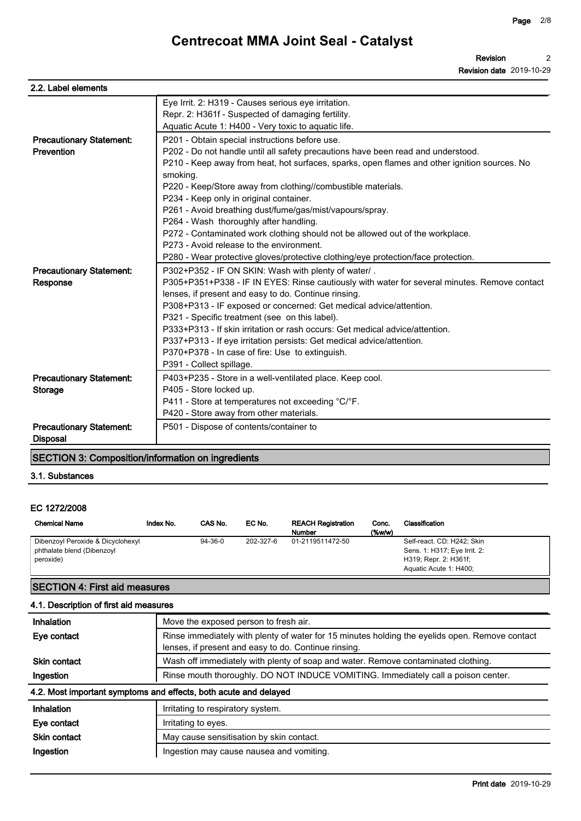| 2.2. Label elements             |                                                                                              |
|---------------------------------|----------------------------------------------------------------------------------------------|
|                                 | Eye Irrit. 2: H319 - Causes serious eye irritation.                                          |
|                                 | Repr. 2: H361f - Suspected of damaging fertility.                                            |
|                                 | Aquatic Acute 1: H400 - Very toxic to aquatic life.                                          |
| <b>Precautionary Statement:</b> | P201 - Obtain special instructions before use.                                               |
| Prevention                      | P202 - Do not handle until all safety precautions have been read and understood.             |
|                                 | P210 - Keep away from heat, hot surfaces, sparks, open flames and other ignition sources. No |
|                                 | smoking.                                                                                     |
|                                 | P220 - Keep/Store away from clothing//combustible materials.                                 |
|                                 | P234 - Keep only in original container.                                                      |
|                                 | P261 - Avoid breathing dust/fume/gas/mist/vapours/spray.                                     |
|                                 | P264 - Wash thoroughly after handling.                                                       |
|                                 | P272 - Contaminated work clothing should not be allowed out of the workplace.                |
|                                 | P273 - Avoid release to the environment.                                                     |
|                                 | P280 - Wear protective gloves/protective clothing/eye protection/face protection.            |
| <b>Precautionary Statement:</b> | P302+P352 - IF ON SKIN: Wash with plenty of water/.                                          |
| Response                        | P305+P351+P338 - IF IN EYES: Rinse cautiously with water for several minutes. Remove contact |
|                                 | lenses, if present and easy to do. Continue rinsing.                                         |
|                                 | P308+P313 - IF exposed or concerned: Get medical advice/attention.                           |
|                                 | P321 - Specific treatment (see on this label).                                               |
|                                 | P333+P313 - If skin irritation or rash occurs: Get medical advice/attention.                 |
|                                 | P337+P313 - If eye irritation persists: Get medical advice/attention.                        |
|                                 | P370+P378 - In case of fire: Use to extinguish.                                              |
|                                 | P391 - Collect spillage.                                                                     |
| <b>Precautionary Statement:</b> | P403+P235 - Store in a well-ventilated place. Keep cool.                                     |
| <b>Storage</b>                  | P405 - Store locked up.                                                                      |
|                                 | P411 - Store at temperatures not exceeding °C/°F.                                            |
|                                 | P420 - Store away from other materials.                                                      |
| <b>Precautionary Statement:</b> | P501 - Dispose of contents/container to                                                      |
| <b>Disposal</b>                 |                                                                                              |

#### **SECTION 3: Composition/information on ingredients**

#### **EC 1272/2008**

| <b>Precautionary Statement:</b><br><b>Disposal</b>                           |           |         | P501 - Dispose of contents/container to |                                            |                    |                                                                                                               |  |
|------------------------------------------------------------------------------|-----------|---------|-----------------------------------------|--------------------------------------------|--------------------|---------------------------------------------------------------------------------------------------------------|--|
| <b>SECTION 3: Composition/information on ingredients</b>                     |           |         |                                         |                                            |                    |                                                                                                               |  |
| 3.1. Substances                                                              |           |         |                                         |                                            |                    |                                                                                                               |  |
| EC 1272/2008<br><b>Chemical Name</b>                                         | Index No. | CAS No. | EC No.                                  | <b>REACH Registration</b><br><b>Number</b> | Conc.<br>$(\%w/w)$ | Classification                                                                                                |  |
| Dibenzoyl Peroxide & Dicyclohexyl<br>phthalate blend (Dibenzoyl<br>peroxide) |           | 94-36-0 | 202-327-6                               | 01-2119511472-50                           |                    | Self-react. CD: H242; Skin<br>Sens. 1: H317; Eye Irrit. 2:<br>H319; Repr. 2: H361f;<br>Aquatic Acute 1: H400; |  |

#### **SECTION 4: First aid measures**

#### **4.1. Description of first aid measures**

| <b>Inhalation</b>   | Move the exposed person to fresh air.                                                                                                                  |  |  |  |
|---------------------|--------------------------------------------------------------------------------------------------------------------------------------------------------|--|--|--|
| Eye contact         | Rinse immediately with plenty of water for 15 minutes holding the eyelids open. Remove contact<br>lenses, if present and easy to do. Continue rinsing. |  |  |  |
| <b>Skin contact</b> | Wash off immediately with plenty of soap and water. Remove contaminated clothing.                                                                      |  |  |  |
| Ingestion           | Rinse mouth thoroughly. DO NOT INDUCE VOMITING. Immediately call a poison center.                                                                      |  |  |  |
|                     | 4.2. Most important symptoms and effects, both acute and delayed                                                                                       |  |  |  |
| <b>Inhalation</b>   | Irritating to respiratory system.                                                                                                                      |  |  |  |
| Eye contact         | Irritating to eyes.                                                                                                                                    |  |  |  |
| Skin contact        | May cause sensitisation by skin contact.                                                                                                               |  |  |  |
| Ingestion           | Ingestion may cause nausea and vomiting.                                                                                                               |  |  |  |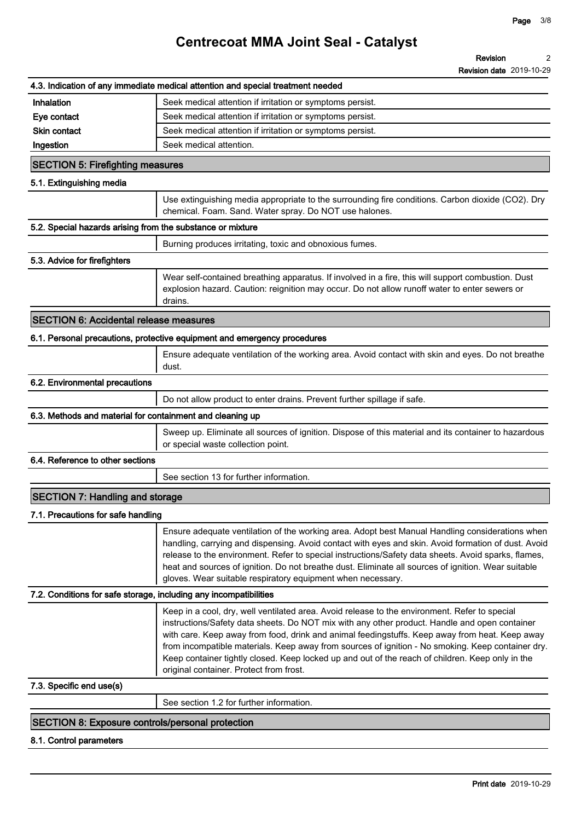|                                                                   | 4.3. Indication of any immediate medical attention and special treatment needed                                                                                                                                                                                                                                                                                                                                                                                                                                                                      |
|-------------------------------------------------------------------|------------------------------------------------------------------------------------------------------------------------------------------------------------------------------------------------------------------------------------------------------------------------------------------------------------------------------------------------------------------------------------------------------------------------------------------------------------------------------------------------------------------------------------------------------|
| Inhalation                                                        | Seek medical attention if irritation or symptoms persist.                                                                                                                                                                                                                                                                                                                                                                                                                                                                                            |
| Eye contact                                                       | Seek medical attention if irritation or symptoms persist.                                                                                                                                                                                                                                                                                                                                                                                                                                                                                            |
| <b>Skin contact</b>                                               | Seek medical attention if irritation or symptoms persist.                                                                                                                                                                                                                                                                                                                                                                                                                                                                                            |
| Ingestion                                                         | Seek medical attention.                                                                                                                                                                                                                                                                                                                                                                                                                                                                                                                              |
| <b>SECTION 5: Firefighting measures</b>                           |                                                                                                                                                                                                                                                                                                                                                                                                                                                                                                                                                      |
| 5.1. Extinguishing media                                          |                                                                                                                                                                                                                                                                                                                                                                                                                                                                                                                                                      |
|                                                                   | Use extinguishing media appropriate to the surrounding fire conditions. Carbon dioxide (CO2). Dry<br>chemical. Foam. Sand. Water spray. Do NOT use halones.                                                                                                                                                                                                                                                                                                                                                                                          |
| 5.2. Special hazards arising from the substance or mixture        |                                                                                                                                                                                                                                                                                                                                                                                                                                                                                                                                                      |
|                                                                   | Burning produces irritating, toxic and obnoxious fumes.                                                                                                                                                                                                                                                                                                                                                                                                                                                                                              |
| 5.3. Advice for firefighters                                      |                                                                                                                                                                                                                                                                                                                                                                                                                                                                                                                                                      |
|                                                                   | Wear self-contained breathing apparatus. If involved in a fire, this will support combustion. Dust<br>explosion hazard. Caution: reignition may occur. Do not allow runoff water to enter sewers or<br>drains.                                                                                                                                                                                                                                                                                                                                       |
| <b>SECTION 6: Accidental release measures</b>                     |                                                                                                                                                                                                                                                                                                                                                                                                                                                                                                                                                      |
|                                                                   | 6.1. Personal precautions, protective equipment and emergency procedures                                                                                                                                                                                                                                                                                                                                                                                                                                                                             |
|                                                                   | Ensure adequate ventilation of the working area. Avoid contact with skin and eyes. Do not breathe<br>dust.                                                                                                                                                                                                                                                                                                                                                                                                                                           |
| 6.2. Environmental precautions                                    |                                                                                                                                                                                                                                                                                                                                                                                                                                                                                                                                                      |
|                                                                   | Do not allow product to enter drains. Prevent further spillage if safe.                                                                                                                                                                                                                                                                                                                                                                                                                                                                              |
| 6.3. Methods and material for containment and cleaning up         |                                                                                                                                                                                                                                                                                                                                                                                                                                                                                                                                                      |
|                                                                   | Sweep up. Eliminate all sources of ignition. Dispose of this material and its container to hazardous<br>or special waste collection point.                                                                                                                                                                                                                                                                                                                                                                                                           |
| 6.4. Reference to other sections                                  |                                                                                                                                                                                                                                                                                                                                                                                                                                                                                                                                                      |
|                                                                   | See section 13 for further information.                                                                                                                                                                                                                                                                                                                                                                                                                                                                                                              |
| <b>SECTION 7: Handling and storage</b>                            |                                                                                                                                                                                                                                                                                                                                                                                                                                                                                                                                                      |
| 7.1. Precautions for safe handling                                |                                                                                                                                                                                                                                                                                                                                                                                                                                                                                                                                                      |
|                                                                   | Ensure adequate ventilation of the working area. Adopt best Manual Handling considerations when<br>handling, carrying and dispensing. Avoid contact with eyes and skin. Avoid formation of dust. Avoid<br>release to the environment. Refer to special instructions/Safety data sheets. Avoid sparks, flames,<br>heat and sources of ignition. Do not breathe dust. Eliminate all sources of ignition. Wear suitable<br>gloves. Wear suitable respiratory equipment when necessary.                                                                  |
| 7.2. Conditions for safe storage, including any incompatibilities |                                                                                                                                                                                                                                                                                                                                                                                                                                                                                                                                                      |
|                                                                   | Keep in a cool, dry, well ventilated area. Avoid release to the environment. Refer to special<br>instructions/Safety data sheets. Do NOT mix with any other product. Handle and open container<br>with care. Keep away from food, drink and animal feedingstuffs. Keep away from heat. Keep away<br>from incompatible materials. Keep away from sources of ignition - No smoking. Keep container dry.<br>Keep container tightly closed. Keep locked up and out of the reach of children. Keep only in the<br>original container. Protect from frost. |
| 7.3. Specific end use(s)                                          |                                                                                                                                                                                                                                                                                                                                                                                                                                                                                                                                                      |
|                                                                   | See section 1.2 for further information.                                                                                                                                                                                                                                                                                                                                                                                                                                                                                                             |
| <b>SECTION 8: Exposure controls/personal protection</b>           |                                                                                                                                                                                                                                                                                                                                                                                                                                                                                                                                                      |
| 8.1. Control parameters                                           |                                                                                                                                                                                                                                                                                                                                                                                                                                                                                                                                                      |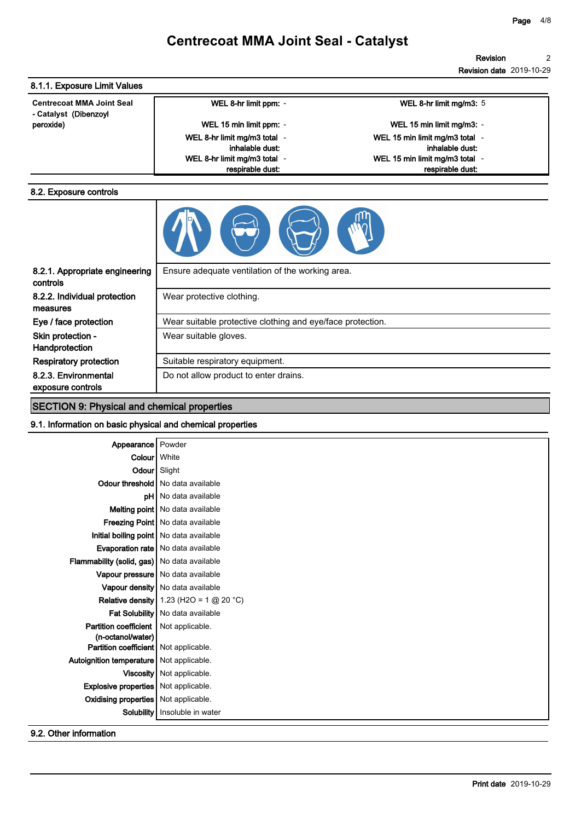## **Centrecoat MMA Joint Seal - Catalyst**

| 8.1.1. Exposure Limit Values                              |                                                  |                                |
|-----------------------------------------------------------|--------------------------------------------------|--------------------------------|
| <b>Centrecoat MMA Joint Seal</b><br>- Catalyst (Dibenzoyl | WEL 8-hr limit ppm: -                            | WEL 8-hr limit mg/m3: 5        |
| peroxide)                                                 | WEL 15 min limit ppm: -                          | WEL 15 min limit mg/m3: -      |
|                                                           | WEL 8-hr limit mg/m3 total -                     | WEL 15 min limit mg/m3 total - |
|                                                           | inhalable dust:                                  | inhalable dust:                |
|                                                           | WEL 8-hr limit mg/m3 total -                     | WEL 15 min limit mg/m3 total - |
|                                                           | respirable dust:                                 | respirable dust:               |
|                                                           |                                                  |                                |
| 8.2.1. Appropriate engineering<br>controls                | Ensure adequate ventilation of the working area. |                                |
| 8.2.2. Individual protection<br>measures                  | Wear protective clothing.                        |                                |

|                                                            | $\mathcal{L}(\mathcal{L})$                                 |  |  |  |
|------------------------------------------------------------|------------------------------------------------------------|--|--|--|
| 8.2.1. Appropriate engineering<br>controls                 | Ensure adequate ventilation of the working area.           |  |  |  |
| 8.2.2. Individual protection<br>measures                   | Wear protective clothing.                                  |  |  |  |
| Eye / face protection                                      | Wear suitable protective clothing and eye/face protection. |  |  |  |
| Skin protection -<br>Handprotection                        | Wear suitable gloves.                                      |  |  |  |
| <b>Respiratory protection</b>                              | Suitable respiratory equipment.                            |  |  |  |
| 8.2.3. Environmental<br>exposure controls                  | Do not allow product to enter drains.                      |  |  |  |
| <b>SECTION 9: Physical and chemical properties</b>         |                                                            |  |  |  |
| 0.1 Information on basic physical and chamical proportios. |                                                            |  |  |  |

### **9.1. Information on basic physical and chemical properties**

| Appearance                                    | Powder                                                             |
|-----------------------------------------------|--------------------------------------------------------------------|
| Colour   White                                |                                                                    |
| Odour Slight                                  |                                                                    |
|                                               | Odour threshold   No data available                                |
|                                               | <b>pH</b> No data available                                        |
|                                               | Melting point   No data available                                  |
|                                               | Freezing Point   No data available                                 |
| Initial boiling point   No data available     |                                                                    |
|                                               | <b>Evaporation rate</b>   No data available                        |
| Flammability (solid, gas)   No data available |                                                                    |
|                                               | Vapour pressure   No data available                                |
|                                               | Vapour density   No data available                                 |
|                                               | <b>Relative density</b> 1.23 (H2O = $1 \text{ @ } 20 \text{ °C}$ ) |
|                                               | Fat Solubility   No data available                                 |
| Partition coefficient   Not applicable.       |                                                                    |
| (n-octanol/water)                             |                                                                    |
| Partition coefficient   Not applicable.       |                                                                    |
| Autoignition temperature   Not applicable.    |                                                                    |
|                                               | Viscosity   Not applicable.                                        |
| <b>Explosive properties</b>   Not applicable. |                                                                    |
| <b>Oxidising properties</b>   Not applicable. |                                                                    |
| <b>Solubility</b>                             | Insoluble in water                                                 |

**9.2. Other information**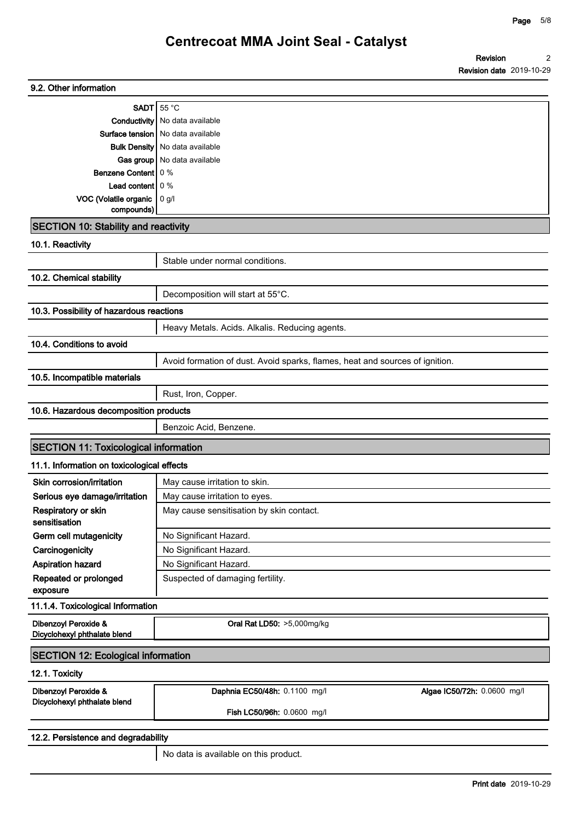| 9.2. Other information                               |                                                                              |  |  |  |
|------------------------------------------------------|------------------------------------------------------------------------------|--|--|--|
| SADT $55^{\circ}$ C                                  |                                                                              |  |  |  |
|                                                      | <b>Conductivity</b> No data available                                        |  |  |  |
|                                                      | Surface tension   No data available                                          |  |  |  |
|                                                      | <b>Bulk Density</b> No data available                                        |  |  |  |
|                                                      | Gas group   No data available                                                |  |  |  |
| <b>Benzene Content</b> 0 %                           |                                                                              |  |  |  |
| Lead content $\vert 0\%$<br>VOC (Volatile organic    |                                                                              |  |  |  |
| compounds)                                           | 0 g/l                                                                        |  |  |  |
| <b>SECTION 10: Stability and reactivity</b>          |                                                                              |  |  |  |
| 10.1. Reactivity                                     |                                                                              |  |  |  |
|                                                      | Stable under normal conditions.                                              |  |  |  |
| 10.2. Chemical stability                             |                                                                              |  |  |  |
|                                                      | Decomposition will start at 55°C.                                            |  |  |  |
| 10.3. Possibility of hazardous reactions             |                                                                              |  |  |  |
|                                                      | Heavy Metals. Acids. Alkalis. Reducing agents.                               |  |  |  |
| 10.4. Conditions to avoid                            |                                                                              |  |  |  |
|                                                      | Avoid formation of dust. Avoid sparks, flames, heat and sources of ignition. |  |  |  |
| 10.5. Incompatible materials                         |                                                                              |  |  |  |
|                                                      | Rust, Iron, Copper.                                                          |  |  |  |
| 10.6. Hazardous decomposition products               |                                                                              |  |  |  |
|                                                      | Benzoic Acid, Benzene.                                                       |  |  |  |
| <b>SECTION 11: Toxicological information</b>         |                                                                              |  |  |  |
| 11.1. Information on toxicological effects           |                                                                              |  |  |  |
| Skin corrosion/irritation                            | May cause irritation to skin.                                                |  |  |  |
| Serious eye damage/irritation                        | May cause irritation to eyes.                                                |  |  |  |
| Respiratory or skin<br>sensitisation                 | May cause sensitisation by skin contact.                                     |  |  |  |
| Germ cell mutagenicity                               | No Significant Hazard.                                                       |  |  |  |
| Carcinogenicity                                      | No Significant Hazard.                                                       |  |  |  |
| Aspiration hazard                                    | No Significant Hazard.                                                       |  |  |  |
| Repeated or prolonged<br>exposure                    | Suspected of damaging fertility.                                             |  |  |  |
| 11.1.4. Toxicological Information                    |                                                                              |  |  |  |
| Dibenzoyl Peroxide &<br>Dicyclohexyl phthalate blend | Oral Rat LD50: >5,000mg/kg                                                   |  |  |  |
| <b>SECTION 12: Ecological information</b>            |                                                                              |  |  |  |
| 12.1. Toxicity                                       |                                                                              |  |  |  |
| Dibenzoyl Peroxide &                                 | Daphnia EC50/48h: 0.1100 mg/l<br>Algae IC50/72h: 0.0600 mg/l                 |  |  |  |
| Dicyclohexyl phthalate blend                         | Fish LC50/96h: 0.0600 mg/l                                                   |  |  |  |
| 12.2. Persistence and degradability                  |                                                                              |  |  |  |

**No data is available on this product.**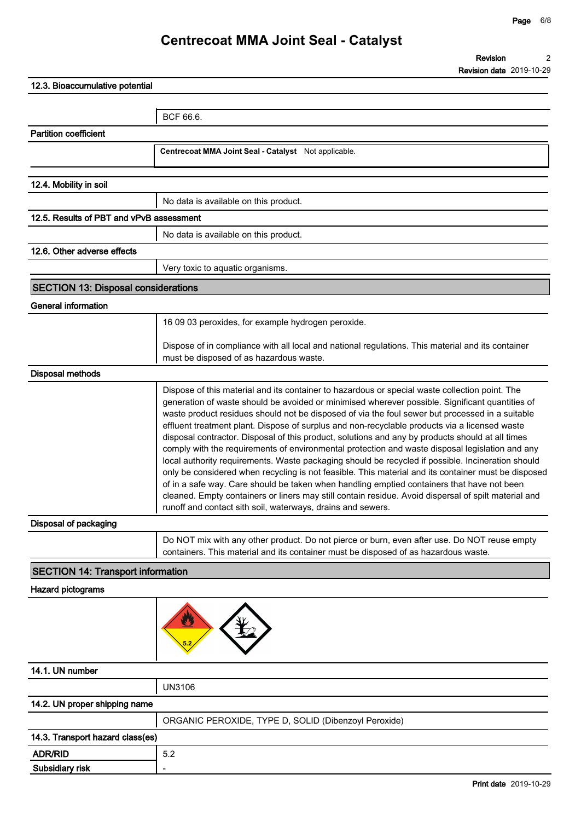**12.3. Bioaccumulative potential BCF 66.6. Partition coefficient Centrecoat MMA Joint Seal - Catalyst Not applicable. 12.4. Mobility in soil No data is available on this product. 12.5. Results of PBT and vPvB assessment No data is available on this product. 12.6. Other adverse effects Very toxic to aquatic organisms. SECTION 13: Disposal considerations General information 16 09 03 peroxides, for example hydrogen peroxide. Dispose of in compliance with all local and national regulations. This material and its container must be disposed of as hazardous waste. Disposal methods Dispose of this material and its container to hazardous or special waste collection point. The generation of waste should be avoided or minimised wherever possible. Significant quantities of waste product residues should not be disposed of via the foul sewer but processed in a suitable effluent treatment plant. Dispose of surplus and non-recyclable products via a licensed waste disposal contractor. Disposal of this product, solutions and any by products should at all times comply with the requirements of environmental protection and waste disposal legislation and any local authority requirements. Waste packaging should be recycled if possible. Incineration should only be considered when recycling is not feasible. This material and its container must be disposed of in a safe way. Care should be taken when handling emptied containers that have not been cleaned. Empty containers or liners may still contain residue. Avoid dispersal of spilt material and runoff and contact sith soil, waterways, drains and sewers. Disposal of packaging Do NOT mix with any other product. Do not pierce or burn, even after use. Do NOT reuse empty containers. This material and its container must be disposed of as hazardous waste. SECTION 14: Transport information Hazard pictograms 14.1. UN number UN3106 14.2. UN proper shipping name ORGANIC PEROXIDE, TYPE D, SOLID (Dibenzoyl Peroxide) 14.3. Transport hazard class(es)**

**ADR/RID 5.2**

**Subsidiary risk -**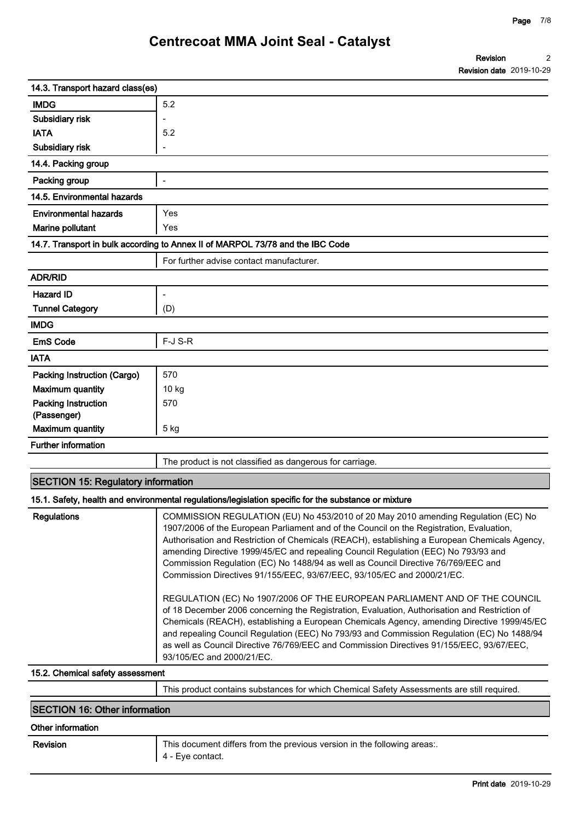| Revision                        |  |
|---------------------------------|--|
| <b>Revision date 2019-10-29</b> |  |

| 14.3. Transport hazard class(es)          |                                                                                                                                                                                                                                                                                                                                                                                                                                                                                                                                                                                                                   |
|-------------------------------------------|-------------------------------------------------------------------------------------------------------------------------------------------------------------------------------------------------------------------------------------------------------------------------------------------------------------------------------------------------------------------------------------------------------------------------------------------------------------------------------------------------------------------------------------------------------------------------------------------------------------------|
| <b>IMDG</b>                               | 5.2                                                                                                                                                                                                                                                                                                                                                                                                                                                                                                                                                                                                               |
| Subsidiary risk                           |                                                                                                                                                                                                                                                                                                                                                                                                                                                                                                                                                                                                                   |
| <b>IATA</b>                               | 5.2                                                                                                                                                                                                                                                                                                                                                                                                                                                                                                                                                                                                               |
| Subsidiary risk                           |                                                                                                                                                                                                                                                                                                                                                                                                                                                                                                                                                                                                                   |
| 14.4. Packing group                       |                                                                                                                                                                                                                                                                                                                                                                                                                                                                                                                                                                                                                   |
| Packing group                             | $\overline{a}$                                                                                                                                                                                                                                                                                                                                                                                                                                                                                                                                                                                                    |
| 14.5. Environmental hazards               |                                                                                                                                                                                                                                                                                                                                                                                                                                                                                                                                                                                                                   |
| <b>Environmental hazards</b>              | Yes                                                                                                                                                                                                                                                                                                                                                                                                                                                                                                                                                                                                               |
| Marine pollutant                          | Yes                                                                                                                                                                                                                                                                                                                                                                                                                                                                                                                                                                                                               |
|                                           | 14.7. Transport in bulk according to Annex II of MARPOL 73/78 and the IBC Code                                                                                                                                                                                                                                                                                                                                                                                                                                                                                                                                    |
|                                           | For further advise contact manufacturer.                                                                                                                                                                                                                                                                                                                                                                                                                                                                                                                                                                          |
| <b>ADR/RID</b>                            |                                                                                                                                                                                                                                                                                                                                                                                                                                                                                                                                                                                                                   |
| <b>Hazard ID</b>                          |                                                                                                                                                                                                                                                                                                                                                                                                                                                                                                                                                                                                                   |
| <b>Tunnel Category</b>                    | (D)                                                                                                                                                                                                                                                                                                                                                                                                                                                                                                                                                                                                               |
| <b>IMDG</b>                               |                                                                                                                                                                                                                                                                                                                                                                                                                                                                                                                                                                                                                   |
| <b>EmS Code</b>                           | F-J S-R                                                                                                                                                                                                                                                                                                                                                                                                                                                                                                                                                                                                           |
| <b>IATA</b>                               |                                                                                                                                                                                                                                                                                                                                                                                                                                                                                                                                                                                                                   |
| <b>Packing Instruction (Cargo)</b>        | 570                                                                                                                                                                                                                                                                                                                                                                                                                                                                                                                                                                                                               |
| <b>Maximum quantity</b>                   | 10 kg                                                                                                                                                                                                                                                                                                                                                                                                                                                                                                                                                                                                             |
| <b>Packing Instruction</b>                | 570                                                                                                                                                                                                                                                                                                                                                                                                                                                                                                                                                                                                               |
| (Passenger)                               |                                                                                                                                                                                                                                                                                                                                                                                                                                                                                                                                                                                                                   |
| <b>Maximum quantity</b>                   | 5 kg                                                                                                                                                                                                                                                                                                                                                                                                                                                                                                                                                                                                              |
| <b>Further information</b>                |                                                                                                                                                                                                                                                                                                                                                                                                                                                                                                                                                                                                                   |
|                                           | The product is not classified as dangerous for carriage.                                                                                                                                                                                                                                                                                                                                                                                                                                                                                                                                                          |
| <b>SECTION 15: Regulatory information</b> |                                                                                                                                                                                                                                                                                                                                                                                                                                                                                                                                                                                                                   |
|                                           | 15.1. Safety, health and environmental regulations/legislation specific for the substance or mixture                                                                                                                                                                                                                                                                                                                                                                                                                                                                                                              |
| <b>Regulations</b>                        | COMMISSION REGULATION (EU) No 453/2010 of 20 May 2010 amending Regulation (EC) No<br>1907/2006 of the European Parliament and of the Council on the Registration, Evaluation,<br>Authorisation and Restriction of Chemicals (REACH), establishing a European Chemicals Agency,<br>amending Directive 1999/45/EC and repealing Council Regulation (EEC) No 793/93 and<br>Commission Regulation (EC) No 1488/94 as well as Council Directive 76/769/EEC and<br>Commission Directives 91/155/EEC, 93/67/EEC, 93/105/EC and 2000/21/EC.<br>REGULATION (EC) No 1907/2006 OF THE EUROPEAN PARLIAMENT AND OF THE COUNCIL |
|                                           | of 18 December 2006 concerning the Registration, Evaluation, Authorisation and Restriction of<br>Chemicals (REACH), establishing a European Chemicals Agency, amending Directive 1999/45/EC<br>and repealing Council Regulation (EEC) No 793/93 and Commission Regulation (EC) No 1488/94<br>as well as Council Directive 76/769/EEC and Commission Directives 91/155/EEC, 93/67/EEC,<br>93/105/EC and 2000/21/EC.                                                                                                                                                                                                |
| 15.2. Chemical safety assessment          |                                                                                                                                                                                                                                                                                                                                                                                                                                                                                                                                                                                                                   |
|                                           | This product contains substances for which Chemical Safety Assessments are still required.                                                                                                                                                                                                                                                                                                                                                                                                                                                                                                                        |
|                                           |                                                                                                                                                                                                                                                                                                                                                                                                                                                                                                                                                                                                                   |

#### **SECTION 16: Other information**

#### **Other information**

| <b>Revision</b> |
|-----------------|
|-----------------|

**Revision This document differs from the previous version in the following areas:. 4 - Eye contact.**